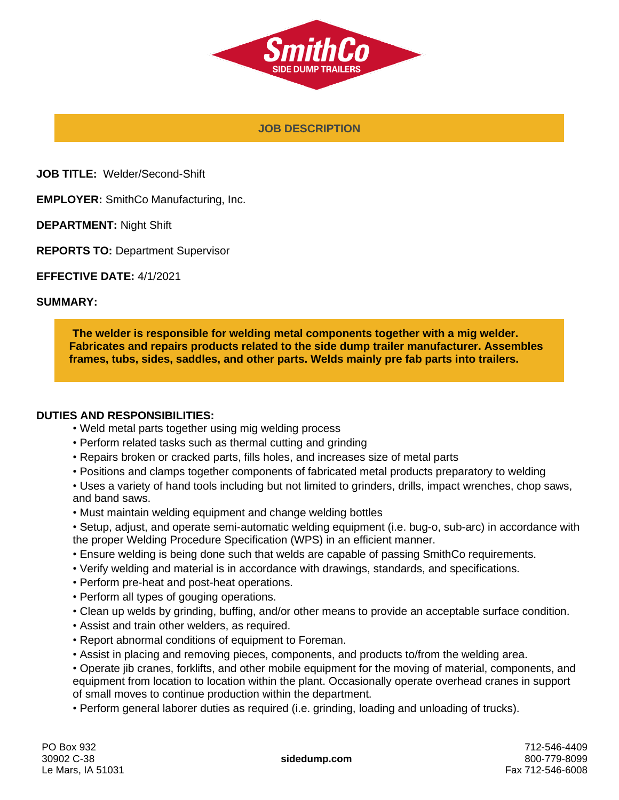

### **JOB DESCRIPTION**

**JOB TITLE:** Welder/Second-Shift

**EMPLOYER:** SmithCo Manufacturing, Inc.

**DEPARTMENT:** Night Shift

**REPORTS TO:** Department Supervisor

**EFFECTIVE DATE:** 4/1/2021

#### **SUMMARY:**

**The welder is responsible for welding metal components together with a mig welder. Fabricates and repairs products related to the side dump trailer manufacturer. Assembles frames, tubs, sides, saddles, and other parts. Welds mainly pre fab parts into trailers.**

#### **DUTIES AND RESPONSIBILITIES:**

- Weld metal parts together using mig welding process
- Perform related tasks such as thermal cutting and grinding
- Repairs broken or cracked parts, fills holes, and increases size of metal parts
- Positions and clamps together components of fabricated metal products preparatory to welding
- Uses a variety of hand tools including but not limited to grinders, drills, impact wrenches, chop saws, and band saws.
- Must maintain welding equipment and change welding bottles

• Setup, adjust, and operate semi-automatic welding equipment (i.e. bug-o, sub-arc) in accordance with the proper Welding Procedure Specification (WPS) in an efficient manner.

- Ensure welding is being done such that welds are capable of passing SmithCo requirements.
- Verify welding and material is in accordance with drawings, standards, and specifications.
- Perform pre-heat and post-heat operations.
- Perform all types of gouging operations.
- Clean up welds by grinding, buffing, and/or other means to provide an acceptable surface condition.
- Assist and train other welders, as required.
- Report abnormal conditions of equipment to Foreman.
- Assist in placing and removing pieces, components, and products to/from the welding area.
- Operate jib cranes, forklifts, and other mobile equipment for the moving of material, components, and equipment from location to location within the plant. Occasionally operate overhead cranes in support of small moves to continue production within the department.
- Perform general laborer duties as required (i.e. grinding, loading and unloading of trucks).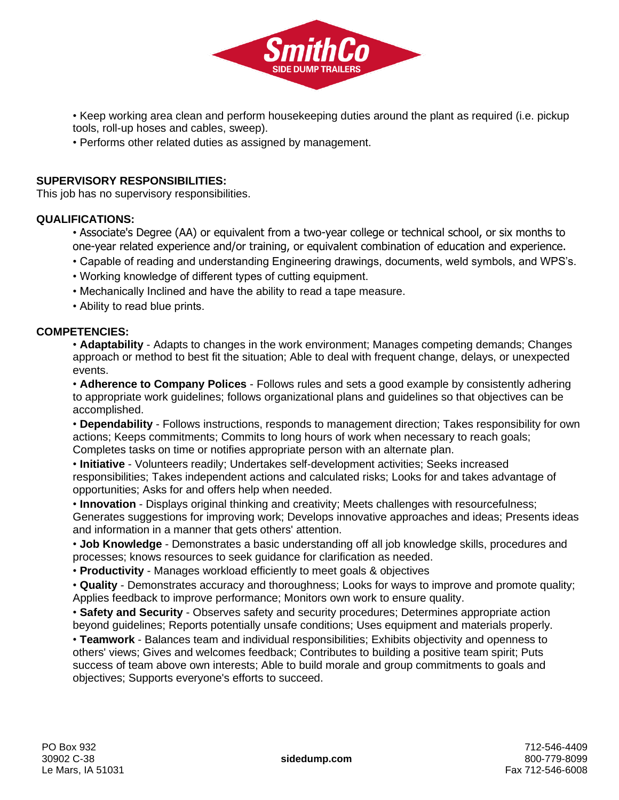

• Keep working area clean and perform housekeeping duties around the plant as required (i.e. pickup tools, roll-up hoses and cables, sweep).

• Performs other related duties as assigned by management.

## **SUPERVISORY RESPONSIBILITIES:**

This job has no supervisory responsibilities.

### **QUALIFICATIONS:**

- Associate's Degree (AA) or equivalent from a two-year college or technical school, or six months to one-year related experience and/or training, or equivalent combination of education and experience.
- Capable of reading and understanding Engineering drawings, documents, weld symbols, and WPS's.
- Working knowledge of different types of cutting equipment.
- Mechanically Inclined and have the ability to read a tape measure.
- Ability to read blue prints.

### **COMPETENCIES:**

• **Adaptability** - Adapts to changes in the work environment; Manages competing demands; Changes approach or method to best fit the situation; Able to deal with frequent change, delays, or unexpected events.

• **Adherence to Company Polices** - Follows rules and sets a good example by consistently adhering to appropriate work guidelines; follows organizational plans and guidelines so that objectives can be accomplished.

• **Dependability** - Follows instructions, responds to management direction; Takes responsibility for own actions; Keeps commitments; Commits to long hours of work when necessary to reach goals; Completes tasks on time or notifies appropriate person with an alternate plan.

• **Initiative** - Volunteers readily; Undertakes self-development activities; Seeks increased responsibilities; Takes independent actions and calculated risks; Looks for and takes advantage of opportunities; Asks for and offers help when needed.

• **Innovation** - Displays original thinking and creativity; Meets challenges with resourcefulness; Generates suggestions for improving work; Develops innovative approaches and ideas; Presents ideas and information in a manner that gets others' attention.

• **Job Knowledge** - Demonstrates a basic understanding off all job knowledge skills, procedures and processes; knows resources to seek guidance for clarification as needed.

• **Productivity** - Manages workload efficiently to meet goals & objectives

• **Quality** - Demonstrates accuracy and thoroughness; Looks for ways to improve and promote quality; Applies feedback to improve performance; Monitors own work to ensure quality.

• **Safety and Security** - Observes safety and security procedures; Determines appropriate action beyond guidelines; Reports potentially unsafe conditions; Uses equipment and materials properly.

• **Teamwork** - Balances team and individual responsibilities; Exhibits objectivity and openness to others' views; Gives and welcomes feedback; Contributes to building a positive team spirit; Puts success of team above own interests; Able to build morale and group commitments to goals and objectives; Supports everyone's efforts to succeed.